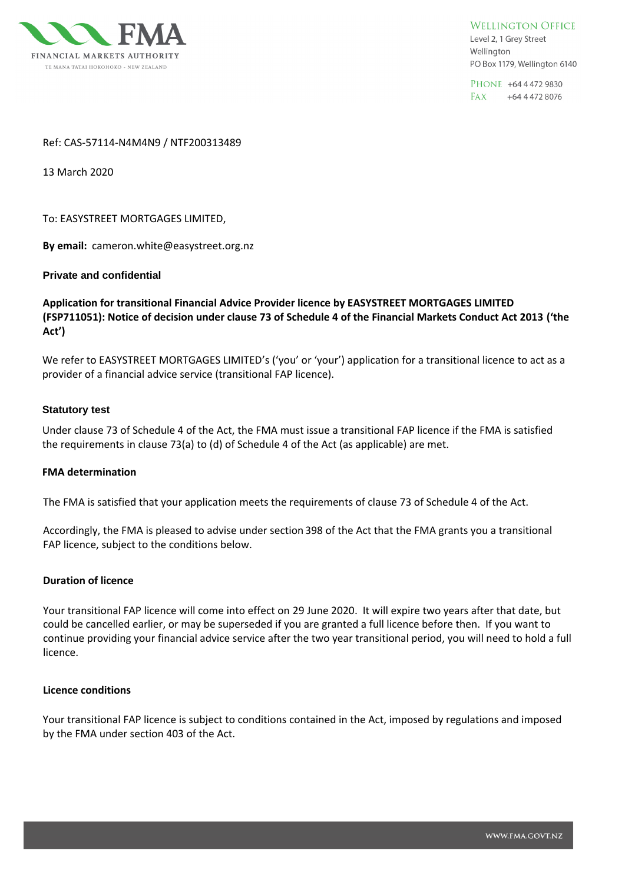

**WELLINGTON OFFICE** Level 2, 1 Grey Street Wellington PO Box 1179, Wellington 6140

PHONE +64 4 472 9830 FAX +64 4 472 8076

### Ref: CAS-57114-N4M4N9 / NTF200313489

13 March 2020

To: EASYSTREET MORTGAGES LIMITED,

By email: cameron.white@easystreet.org.nz

## **Private and confidential**

**Application for transitional Financial Advice Provider licence by EASYSTREET MORTGAGES LIMITED (FSP711051): Notice of decision under clause 73 of Schedule 4 of the Financial Markets Conduct Act 2013 ('the Act')**

We refer to EASYSTREET MORTGAGES LIMITED's ('you' or 'your') application for a transitional licence to act as a provider of a financial advice service (transitional FAP licence).

#### **Statutory test**

Under clause 73 of Schedule 4 of the Act, the FMA must issue a transitional FAP licence if the FMA is satisfied the requirements in clause 73(a) to (d) of Schedule 4 of the Act (as applicable) are met.

#### **FMA determination**

The FMA is satisfied that your application meets the requirements of clause 73 of Schedule 4 of the Act.

Accordingly, the FMA is pleased to advise under section 398 of the Act that the FMA grants you a transitional FAP licence, subject to the conditions below.

#### **Duration of licence**

Your transitional FAP licence will come into effect on 29 June 2020. It will expire two years after that date, but could be cancelled earlier, or may be superseded if you are granted a full licence before then. If you want to continue providing your financial advice service after the two year transitional period, you will need to hold a full licence.

#### **Licence conditions**

Your transitional FAP licence is subject to conditions contained in the Act, imposed by regulations and imposed by the FMA under section 403 of the Act.